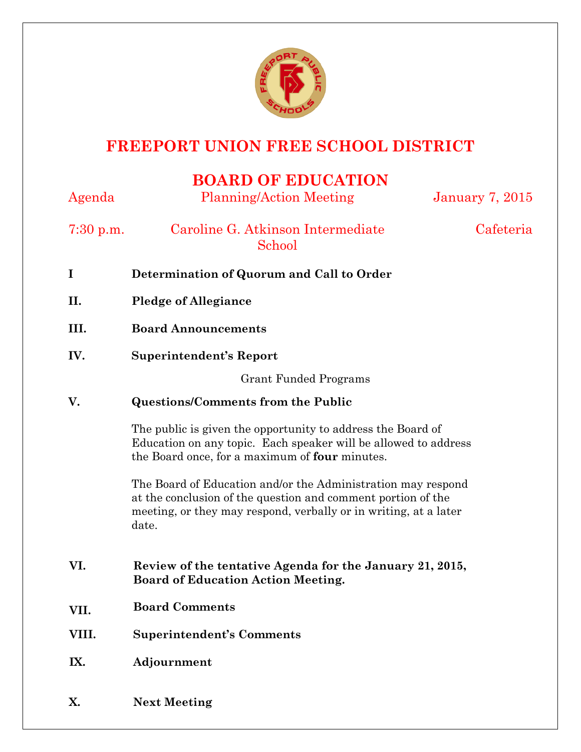

## **FREEPORT UNION FREE SCHOOL DISTRICT**

## **BOARD OF EDUCATION**

| Agenda      | <b>Planning/Action Meeting</b>                                                                                                                                                                            | <b>January 7, 2015</b> |
|-------------|-----------------------------------------------------------------------------------------------------------------------------------------------------------------------------------------------------------|------------------------|
| $7:30$ p.m. | Caroline G. Atkinson Intermediate<br>School                                                                                                                                                               | Cafeteria              |
| I           | Determination of Quorum and Call to Order                                                                                                                                                                 |                        |
| II.         | <b>Pledge of Allegiance</b>                                                                                                                                                                               |                        |
| III.        | <b>Board Announcements</b>                                                                                                                                                                                |                        |
| IV.         | <b>Superintendent's Report</b>                                                                                                                                                                            |                        |
|             | <b>Grant Funded Programs</b>                                                                                                                                                                              |                        |
| V.          | <b>Questions/Comments from the Public</b>                                                                                                                                                                 |                        |
|             | The public is given the opportunity to address the Board of<br>Education on any topic. Each speaker will be allowed to address<br>the Board once, for a maximum of four minutes.                          |                        |
|             | The Board of Education and/or the Administration may respond<br>at the conclusion of the question and comment portion of the<br>meeting, or they may respond, verbally or in writing, at a later<br>date. |                        |
| VI.         | Review of the tentative Agenda for the January 21, 2015,<br><b>Board of Education Action Meeting.</b>                                                                                                     |                        |
| VII.        | <b>Board Comments</b>                                                                                                                                                                                     |                        |
| VIII.       | <b>Superintendent's Comments</b>                                                                                                                                                                          |                        |
| IX.         | Adjournment                                                                                                                                                                                               |                        |
| X.          | <b>Next Meeting</b>                                                                                                                                                                                       |                        |